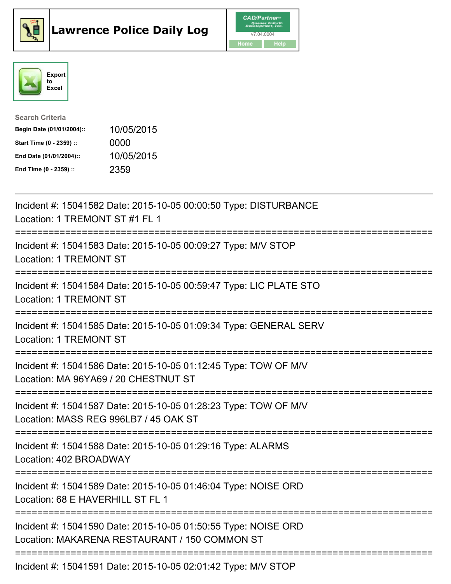





| <b>Search Criteria</b>    |            |
|---------------------------|------------|
| Begin Date (01/01/2004):: | 10/05/2015 |
| Start Time (0 - 2359) ::  | 0000       |
| End Date (01/01/2004)::   | 10/05/2015 |
| End Time (0 - 2359) ::    | 2359       |

| Incident #: 15041582 Date: 2015-10-05 00:00:50 Type: DISTURBANCE<br>Location: 1 TREMONT ST #1 FL 1                                                                      |
|-------------------------------------------------------------------------------------------------------------------------------------------------------------------------|
| Incident #: 15041583 Date: 2015-10-05 00:09:27 Type: M/V STOP<br><b>Location: 1 TREMONT ST</b>                                                                          |
| Incident #: 15041584 Date: 2015-10-05 00:59:47 Type: LIC PLATE STO<br><b>Location: 1 TREMONT ST</b>                                                                     |
| Incident #: 15041585 Date: 2015-10-05 01:09:34 Type: GENERAL SERV<br><b>Location: 1 TREMONT ST</b>                                                                      |
| Incident #: 15041586 Date: 2015-10-05 01:12:45 Type: TOW OF M/V<br>Location: MA 96YA69 / 20 CHESTNUT ST<br>=========================                                    |
| Incident #: 15041587 Date: 2015-10-05 01:28:23 Type: TOW OF M/V<br>Location: MASS REG 996LB7 / 45 OAK ST<br>.==============================<br>======================== |
| Incident #: 15041588 Date: 2015-10-05 01:29:16 Type: ALARMS<br>Location: 402 BROADWAY                                                                                   |
| Incident #: 15041589 Date: 2015-10-05 01:46:04 Type: NOISE ORD<br>Location: 68 E HAVERHILL ST FL 1<br>===============                                                   |
| Incident #: 15041590 Date: 2015-10-05 01:50:55 Type: NOISE ORD<br>Location: MAKARENA RESTAURANT / 150 COMMON ST<br>--------------------------------------               |
| Incident #: 15041591 Date: 2015-10-05 02:01:42 Type: M/V STOP                                                                                                           |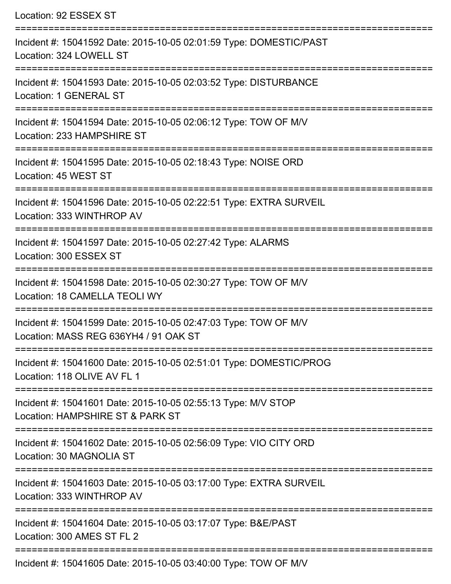| Location: 92 ESSEX ST                                                                                              |
|--------------------------------------------------------------------------------------------------------------------|
| Incident #: 15041592 Date: 2015-10-05 02:01:59 Type: DOMESTIC/PAST<br>Location: 324 LOWELL ST                      |
| Incident #: 15041593 Date: 2015-10-05 02:03:52 Type: DISTURBANCE<br>Location: 1 GENERAL ST                         |
| Incident #: 15041594 Date: 2015-10-05 02:06:12 Type: TOW OF M/V<br>Location: 233 HAMPSHIRE ST                      |
| Incident #: 15041595 Date: 2015-10-05 02:18:43 Type: NOISE ORD<br>Location: 45 WEST ST<br>======================== |
| Incident #: 15041596 Date: 2015-10-05 02:22:51 Type: EXTRA SURVEIL<br>Location: 333 WINTHROP AV                    |
| Incident #: 15041597 Date: 2015-10-05 02:27:42 Type: ALARMS<br>Location: 300 ESSEX ST                              |
| Incident #: 15041598 Date: 2015-10-05 02:30:27 Type: TOW OF M/V<br>Location: 18 CAMELLA TEOLI WY                   |
| Incident #: 15041599 Date: 2015-10-05 02:47:03 Type: TOW OF M/V<br>Location: MASS REG 636YH4 / 91 OAK ST           |
| Incident #: 15041600 Date: 2015-10-05 02:51:01 Type: DOMESTIC/PROG<br>Location: 118 OLIVE AV FL 1                  |
| Incident #: 15041601 Date: 2015-10-05 02:55:13 Type: M/V STOP<br>Location: HAMPSHIRE ST & PARK ST                  |
| Incident #: 15041602 Date: 2015-10-05 02:56:09 Type: VIO CITY ORD<br>Location: 30 MAGNOLIA ST                      |
| Incident #: 15041603 Date: 2015-10-05 03:17:00 Type: EXTRA SURVEIL<br>Location: 333 WINTHROP AV                    |
| Incident #: 15041604 Date: 2015-10-05 03:17:07 Type: B&E/PAST<br>Location: 300 AMES ST FL 2                        |
| Incident #: 15041605 Date: 2015-10-05 03:40:00 Type: TOW OF M/V                                                    |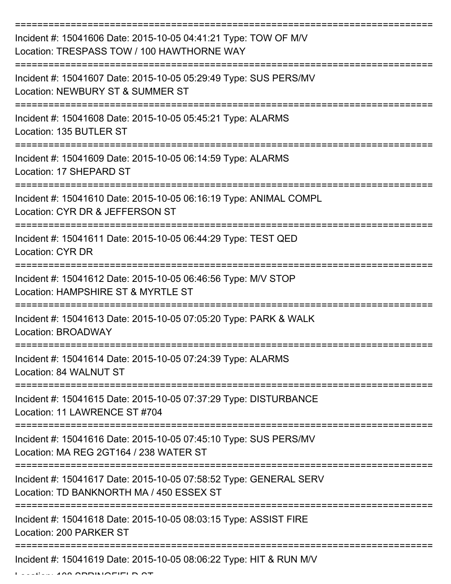| Incident #: 15041606 Date: 2015-10-05 04:41:21 Type: TOW OF M/V<br>Location: TRESPASS TOW / 100 HAWTHORNE WAY |
|---------------------------------------------------------------------------------------------------------------|
| Incident #: 15041607 Date: 2015-10-05 05:29:49 Type: SUS PERS/MV<br>Location: NEWBURY ST & SUMMER ST          |
| Incident #: 15041608 Date: 2015-10-05 05:45:21 Type: ALARMS<br>Location: 135 BUTLER ST                        |
| Incident #: 15041609 Date: 2015-10-05 06:14:59 Type: ALARMS<br>Location: 17 SHEPARD ST                        |
| Incident #: 15041610 Date: 2015-10-05 06:16:19 Type: ANIMAL COMPL<br>Location: CYR DR & JEFFERSON ST          |
| Incident #: 15041611 Date: 2015-10-05 06:44:29 Type: TEST QED<br>Location: CYR DR                             |
| Incident #: 15041612 Date: 2015-10-05 06:46:56 Type: M/V STOP<br>Location: HAMPSHIRE ST & MYRTLE ST           |
| Incident #: 15041613 Date: 2015-10-05 07:05:20 Type: PARK & WALK<br>Location: BROADWAY                        |
| Incident #: 15041614 Date: 2015-10-05 07:24:39 Type: ALARMS<br>Location: 84 WALNUT ST                         |
| Incident #: 15041615 Date: 2015-10-05 07:37:29 Type: DISTURBANCE<br>Location: 11 LAWRENCE ST #704             |
| Incident #: 15041616 Date: 2015-10-05 07:45:10 Type: SUS PERS/MV<br>Location: MA REG 2GT164 / 238 WATER ST    |
| Incident #: 15041617 Date: 2015-10-05 07:58:52 Type: GENERAL SERV<br>Location: TD BANKNORTH MA / 450 ESSEX ST |
| Incident #: 15041618 Date: 2015-10-05 08:03:15 Type: ASSIST FIRE<br>Location: 200 PARKER ST                   |
| Incident #: 15041619 Date: 2015-10-05 08:06:22 Type: HIT & RUN M/V                                            |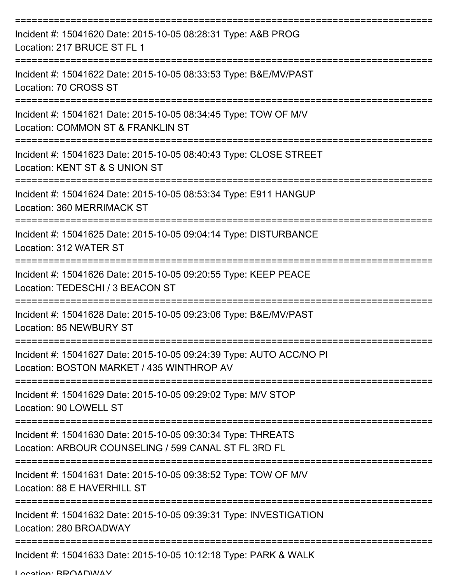| Incident #: 15041620 Date: 2015-10-05 08:28:31 Type: A&B PROG<br>Location: 217 BRUCE ST FL 1                                  |
|-------------------------------------------------------------------------------------------------------------------------------|
| Incident #: 15041622 Date: 2015-10-05 08:33:53 Type: B&E/MV/PAST<br>Location: 70 CROSS ST                                     |
| Incident #: 15041621 Date: 2015-10-05 08:34:45 Type: TOW OF M/V<br>Location: COMMON ST & FRANKLIN ST<br>===================== |
| Incident #: 15041623 Date: 2015-10-05 08:40:43 Type: CLOSE STREET<br>Location: KENT ST & S UNION ST                           |
| Incident #: 15041624 Date: 2015-10-05 08:53:34 Type: E911 HANGUP<br>Location: 360 MERRIMACK ST                                |
| ==========<br>Incident #: 15041625 Date: 2015-10-05 09:04:14 Type: DISTURBANCE<br>Location: 312 WATER ST                      |
| Incident #: 15041626 Date: 2015-10-05 09:20:55 Type: KEEP PEACE<br>Location: TEDESCHI / 3 BEACON ST                           |
| Incident #: 15041628 Date: 2015-10-05 09:23:06 Type: B&E/MV/PAST<br>Location: 85 NEWBURY ST                                   |
| Incident #: 15041627 Date: 2015-10-05 09:24:39 Type: AUTO ACC/NO PI<br>Location: BOSTON MARKET / 435 WINTHROP AV              |
| Incident #: 15041629 Date: 2015-10-05 09:29:02 Type: M/V STOP<br>Location: 90 LOWELL ST                                       |
| Incident #: 15041630 Date: 2015-10-05 09:30:34 Type: THREATS<br>Location: ARBOUR COUNSELING / 599 CANAL ST FL 3RD FL          |
| Incident #: 15041631 Date: 2015-10-05 09:38:52 Type: TOW OF M/V<br>Location: 88 E HAVERHILL ST                                |
| Incident #: 15041632 Date: 2015-10-05 09:39:31 Type: INVESTIGATION<br>Location: 280 BROADWAY                                  |
| Incident #: 15041633 Date: 2015-10-05 10:12:18 Type: PARK & WALK                                                              |

Location: BROADWAY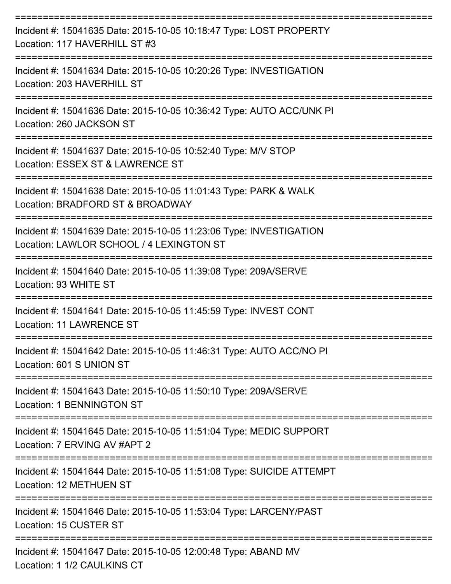| Incident #: 15041635 Date: 2015-10-05 10:18:47 Type: LOST PROPERTY<br>Location: 117 HAVERHILL ST #3                                   |
|---------------------------------------------------------------------------------------------------------------------------------------|
| Incident #: 15041634 Date: 2015-10-05 10:20:26 Type: INVESTIGATION<br>Location: 203 HAVERHILL ST                                      |
| Incident #: 15041636 Date: 2015-10-05 10:36:42 Type: AUTO ACC/UNK PI<br>Location: 260 JACKSON ST<br>:================================ |
| Incident #: 15041637 Date: 2015-10-05 10:52:40 Type: M/V STOP<br>Location: ESSEX ST & LAWRENCE ST                                     |
| Incident #: 15041638 Date: 2015-10-05 11:01:43 Type: PARK & WALK<br>Location: BRADFORD ST & BROADWAY                                  |
| Incident #: 15041639 Date: 2015-10-05 11:23:06 Type: INVESTIGATION<br>Location: LAWLOR SCHOOL / 4 LEXINGTON ST                        |
| -------------------<br>Incident #: 15041640 Date: 2015-10-05 11:39:08 Type: 209A/SERVE<br>Location: 93 WHITE ST                       |
| Incident #: 15041641 Date: 2015-10-05 11:45:59 Type: INVEST CONT<br><b>Location: 11 LAWRENCE ST</b>                                   |
| Incident #: 15041642 Date: 2015-10-05 11:46:31 Type: AUTO ACC/NO PI<br>Location: 601 S UNION ST                                       |
| Incident #: 15041643 Date: 2015-10-05 11:50:10 Type: 209A/SERVE<br><b>Location: 1 BENNINGTON ST</b>                                   |
| Incident #: 15041645 Date: 2015-10-05 11:51:04 Type: MEDIC SUPPORT<br>Location: 7 ERVING AV #APT 2                                    |
| Incident #: 15041644 Date: 2015-10-05 11:51:08 Type: SUICIDE ATTEMPT<br>Location: 12 METHUEN ST                                       |
| Incident #: 15041646 Date: 2015-10-05 11:53:04 Type: LARCENY/PAST<br>Location: 15 CUSTER ST                                           |
| Incident #: 15041647 Date: 2015-10-05 12:00:48 Type: ABAND MV<br>Location: 1 1/2 CAULKINS CT                                          |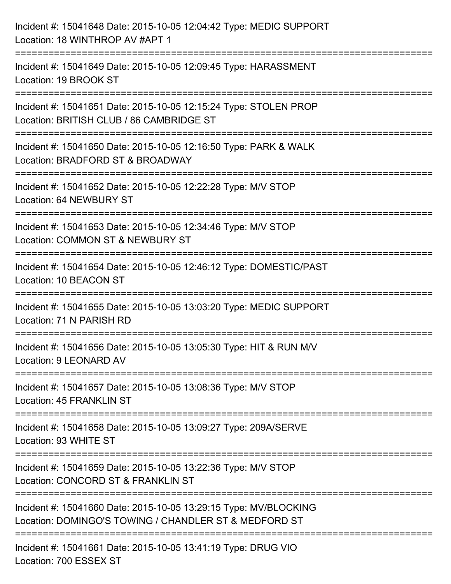| Incident #: 15041648 Date: 2015-10-05 12:04:42 Type: MEDIC SUPPORT<br>Location: 18 WINTHROP AV #APT 1                                       |
|---------------------------------------------------------------------------------------------------------------------------------------------|
| :=====================<br>Incident #: 15041649 Date: 2015-10-05 12:09:45 Type: HARASSMENT<br>Location: 19 BROOK ST                          |
| Incident #: 15041651 Date: 2015-10-05 12:15:24 Type: STOLEN PROP<br>Location: BRITISH CLUB / 86 CAMBRIDGE ST<br>=========================== |
| Incident #: 15041650 Date: 2015-10-05 12:16:50 Type: PARK & WALK<br>Location: BRADFORD ST & BROADWAY                                        |
| Incident #: 15041652 Date: 2015-10-05 12:22:28 Type: M/V STOP<br>Location: 64 NEWBURY ST                                                    |
| Incident #: 15041653 Date: 2015-10-05 12:34:46 Type: M/V STOP<br>Location: COMMON ST & NEWBURY ST<br>=====================                  |
| Incident #: 15041654 Date: 2015-10-05 12:46:12 Type: DOMESTIC/PAST<br>Location: 10 BEACON ST                                                |
| Incident #: 15041655 Date: 2015-10-05 13:03:20 Type: MEDIC SUPPORT<br>Location: 71 N PARISH RD                                              |
| Incident #: 15041656 Date: 2015-10-05 13:05:30 Type: HIT & RUN M/V<br>Location: 9 LEONARD AV                                                |
| Incident #: 15041657 Date: 2015-10-05 13:08:36 Type: M/V STOP<br><b>Location: 45 FRANKLIN ST</b>                                            |
| Incident #: 15041658 Date: 2015-10-05 13:09:27 Type: 209A/SERVE<br>Location: 93 WHITE ST                                                    |
| Incident #: 15041659 Date: 2015-10-05 13:22:36 Type: M/V STOP<br>Location: CONCORD ST & FRANKLIN ST                                         |
| Incident #: 15041660 Date: 2015-10-05 13:29:15 Type: MV/BLOCKING<br>Location: DOMINGO'S TOWING / CHANDLER ST & MEDFORD ST                   |
| Incident #: 15041661 Date: 2015-10-05 13:41:19 Type: DRUG VIO<br>Location: 700 ESSEX ST                                                     |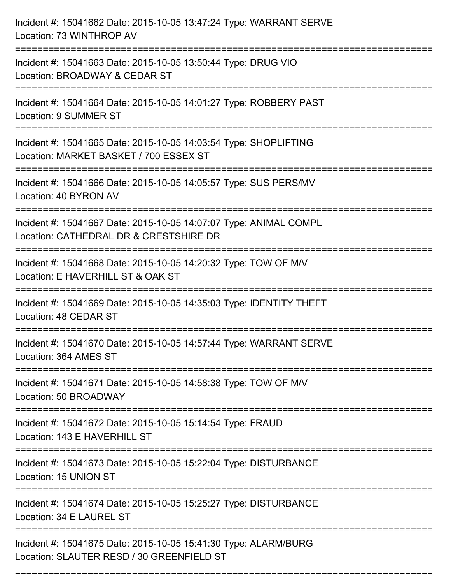| Incident #: 15041662 Date: 2015-10-05 13:47:24 Type: WARRANT SERVE<br>Location: 73 WINTHROP AV                                    |
|-----------------------------------------------------------------------------------------------------------------------------------|
| Incident #: 15041663 Date: 2015-10-05 13:50:44 Type: DRUG VIO<br>Location: BROADWAY & CEDAR ST                                    |
| Incident #: 15041664 Date: 2015-10-05 14:01:27 Type: ROBBERY PAST<br>Location: 9 SUMMER ST<br>:================================== |
| Incident #: 15041665 Date: 2015-10-05 14:03:54 Type: SHOPLIFTING<br>Location: MARKET BASKET / 700 ESSEX ST                        |
| Incident #: 15041666 Date: 2015-10-05 14:05:57 Type: SUS PERS/MV<br>Location: 40 BYRON AV<br>=============================        |
| Incident #: 15041667 Date: 2015-10-05 14:07:07 Type: ANIMAL COMPL<br>Location: CATHEDRAL DR & CRESTSHIRE DR                       |
| Incident #: 15041668 Date: 2015-10-05 14:20:32 Type: TOW OF M/V<br>Location: E HAVERHILL ST & OAK ST<br>================          |
| Incident #: 15041669 Date: 2015-10-05 14:35:03 Type: IDENTITY THEFT<br>Location: 48 CEDAR ST                                      |
| Incident #: 15041670 Date: 2015-10-05 14:57:44 Type: WARRANT SERVE<br>Location: 364 AMES ST<br>:================                  |
| Incident #: 15041671 Date: 2015-10-05 14:58:38 Type: TOW OF M/V<br>Location: 50 BROADWAY<br>==============================        |
| Incident #: 15041672 Date: 2015-10-05 15:14:54 Type: FRAUD<br>Location: 143 E HAVERHILL ST                                        |
| Incident #: 15041673 Date: 2015-10-05 15:22:04 Type: DISTURBANCE<br>Location: 15 UNION ST                                         |
| Incident #: 15041674 Date: 2015-10-05 15:25:27 Type: DISTURBANCE<br>Location: 34 E LAUREL ST                                      |
| Incident #: 15041675 Date: 2015-10-05 15:41:30 Type: ALARM/BURG<br>Location: SLAUTER RESD / 30 GREENFIELD ST                      |

===========================================================================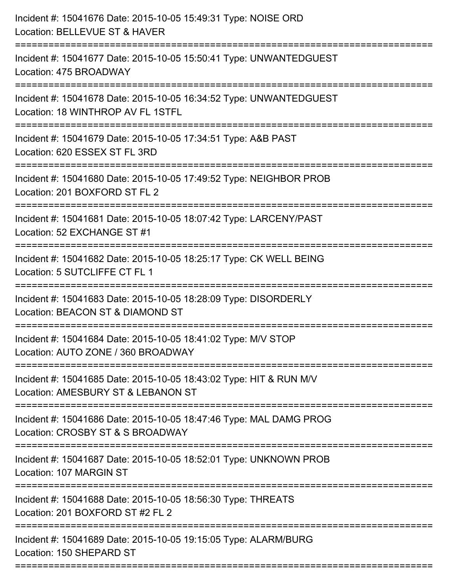| Incident #: 15041676 Date: 2015-10-05 15:49:31 Type: NOISE ORD<br>Location: BELLEVUE ST & HAVER                                    |
|------------------------------------------------------------------------------------------------------------------------------------|
| Incident #: 15041677 Date: 2015-10-05 15:50:41 Type: UNWANTEDGUEST<br>Location: 475 BROADWAY                                       |
| Incident #: 15041678 Date: 2015-10-05 16:34:52 Type: UNWANTEDGUEST<br>Location: 18 WINTHROP AV FL 1STFL<br>----------------------- |
| Incident #: 15041679 Date: 2015-10-05 17:34:51 Type: A&B PAST<br>Location: 620 ESSEX ST FL 3RD                                     |
| Incident #: 15041680 Date: 2015-10-05 17:49:52 Type: NEIGHBOR PROB<br>Location: 201 BOXFORD ST FL 2                                |
| Incident #: 15041681 Date: 2015-10-05 18:07:42 Type: LARCENY/PAST<br>Location: 52 EXCHANGE ST #1                                   |
| Incident #: 15041682 Date: 2015-10-05 18:25:17 Type: CK WELL BEING<br>Location: 5 SUTCLIFFE CT FL 1                                |
| Incident #: 15041683 Date: 2015-10-05 18:28:09 Type: DISORDERLY<br>Location: BEACON ST & DIAMOND ST                                |
| Incident #: 15041684 Date: 2015-10-05 18:41:02 Type: M/V STOP<br>Location: AUTO ZONE / 360 BROADWAY                                |
| Incident #: 15041685 Date: 2015-10-05 18:43:02 Type: HIT & RUN M/V<br>Location: AMESBURY ST & LEBANON ST                           |
| Incident #: 15041686 Date: 2015-10-05 18:47:46 Type: MAL DAMG PROG<br>Location: CROSBY ST & S BROADWAY                             |
| =======================<br>Incident #: 15041687 Date: 2015-10-05 18:52:01 Type: UNKNOWN PROB<br>Location: 107 MARGIN ST            |
| Incident #: 15041688 Date: 2015-10-05 18:56:30 Type: THREATS<br>Location: 201 BOXFORD ST #2 FL 2                                   |
| Incident #: 15041689 Date: 2015-10-05 19:15:05 Type: ALARM/BURG<br>Location: 150 SHEPARD ST                                        |
|                                                                                                                                    |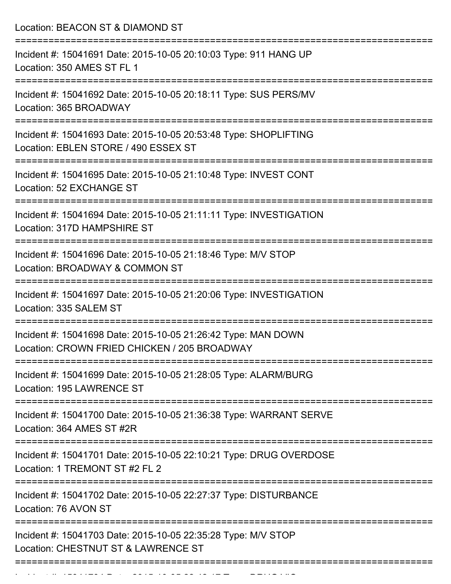Location: BEACON ST & DIAMOND ST =========================================================================== Incident #: 15041691 Date: 2015-10-05 20:10:03 Type: 911 HANG UP Location: 350 AMES ST FL 1 =========================================================================== Incident #: 15041692 Date: 2015-10-05 20:18:11 Type: SUS PERS/MV Location: 365 BROADWAY =========================================================================== Incident #: 15041693 Date: 2015-10-05 20:53:48 Type: SHOPLIFTING Location: EBLEN STORE / 490 ESSEX ST =========================================================================== Incident #: 15041695 Date: 2015-10-05 21:10:48 Type: INVEST CONT Location: 52 EXCHANGE ST =========================================================================== Incident #: 15041694 Date: 2015-10-05 21:11:11 Type: INVESTIGATION Location: 317D HAMPSHIRE ST =========================================================================== Incident #: 15041696 Date: 2015-10-05 21:18:46 Type: M/V STOP Location: BROADWAY & COMMON ST =========================================================================== Incident #: 15041697 Date: 2015-10-05 21:20:06 Type: INVESTIGATION Location: 335 SALEM ST =========================================================================== Incident #: 15041698 Date: 2015-10-05 21:26:42 Type: MAN DOWN Location: CROWN FRIED CHICKEN / 205 BROADWAY =========================================================================== Incident #: 15041699 Date: 2015-10-05 21:28:05 Type: ALARM/BURG Location: 195 LAWRENCE ST =========================================================================== Incident #: 15041700 Date: 2015-10-05 21:36:38 Type: WARRANT SERVE Location: 364 AMES ST #2R =========================================================================== Incident #: 15041701 Date: 2015-10-05 22:10:21 Type: DRUG OVERDOSE Location: 1 TREMONT ST #2 FL 2 =========================================================================== Incident #: 15041702 Date: 2015-10-05 22:27:37 Type: DISTURBANCE Location: 76 AVON ST =========================================================================== Incident #: 15041703 Date: 2015-10-05 22:35:28 Type: M/V STOP Location: CHESTNUT ST & LAWRENCE ST ===========================================================================

Incident #: 15041704 Date: 2015 10 05 22:42:17 Type: DRUG VIO